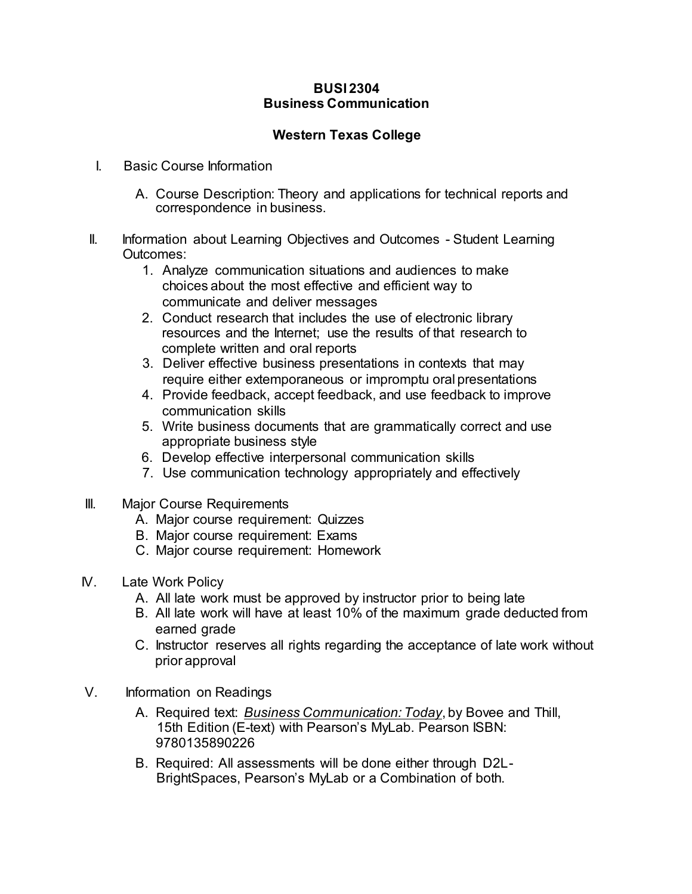## **BUSI 2304 Business Communication**

## **Western Texas College**

- I. Basic Course Information
	- A. Course Description: Theory and applications for technical reports and correspondence in business.
- II. Information about Learning Objectives and Outcomes Student Learning Outcomes:
	- 1. Analyze communication situations and audiences to make choices about the most effective and efficient way to communicate and deliver messages
	- 2. Conduct research that includes the use of electronic library resources and the Internet; use the results of that research to complete written and oral reports
	- 3. Deliver effective business presentations in contexts that may require either extemporaneous or impromptu oral presentations
	- 4. Provide feedback, accept feedback, and use feedback to improve communication skills
	- 5. Write business documents that are grammatically correct and use appropriate business style
	- 6. Develop effective interpersonal communication skills
	- 7. Use communication technology appropriately and effectively
- **III.** Major Course Requirements
	- A. Major course requirement: Quizzes
	- B. Major course requirement: Exams
	- C. Major course requirement: Homework
- IV. Late Work Policy
	- A. All late work must be approved by instructor prior to being late
	- B. All late work will have at least 10% of the maximum grade deducted from earned grade
	- C. Instructor reserves all rights regarding the acceptance of late work without prior approval
- V. Information on Readings
	- A. Required text: *Business Communication: Today*, by Bovee and Thill, 15th Edition (E-text) with Pearson's MyLab. Pearson ISBN: 9780135890226
	- B. Required: All assessments will be done either through D2L-BrightSpaces, Pearson's MyLab or a Combination of both.